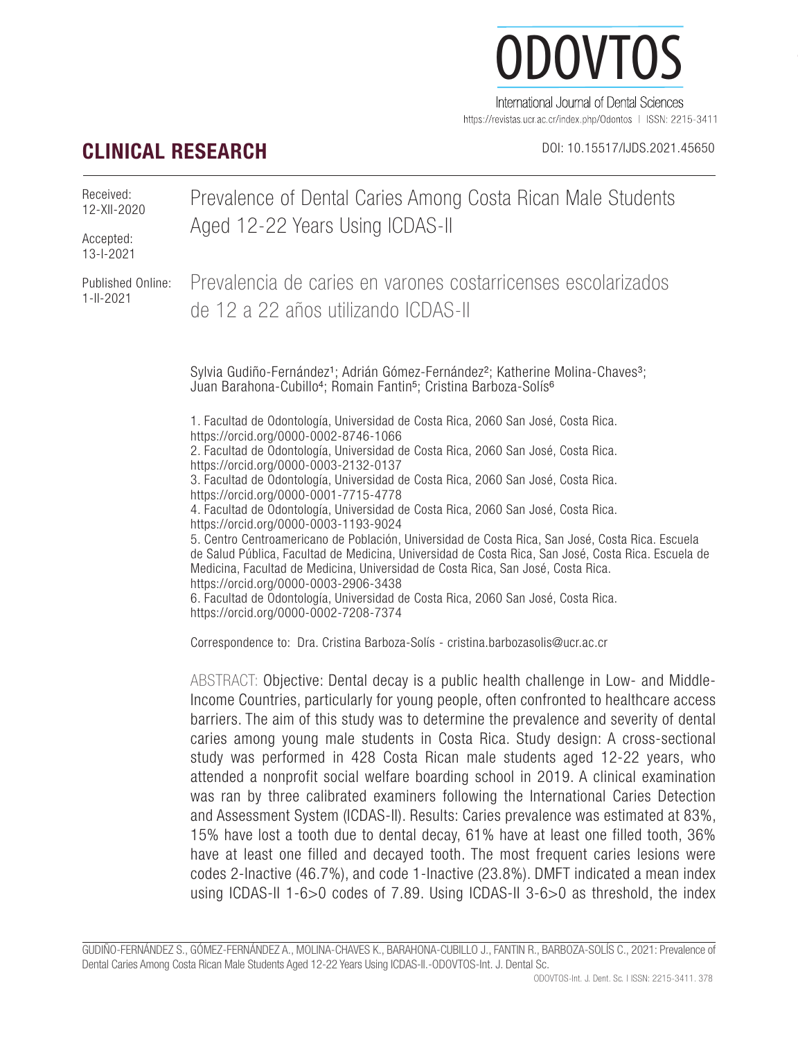# ODOVTOS International Journal of Dental Sciences

https://revistas.ucr.ac.cr/index.php/Odontos | ISSN: 2215-3411

# **CLINICAL RESEARCH** DOI: 10.15517/IJDS.2021.45650

Prevalence of Dental Caries Among Costa Rican Male Students Aged 12-22 Years Using ICDAS-II Prevalencia de caries en varones costarricenses escolarizados de 12 a 22 años utilizando ICDAS-II Sylvia Gudiño-Fernández<sup>1</sup>; Adrián Gómez-Fernández<sup>2</sup>; Katherine Molina-Chaves<sup>3</sup>; Juan Barahona-Cubillo<sup>4</sup>; Romain Fantin<sup>5</sup>; Cristina Barboza-Solís<sup>6</sup> 1. Facultad de Odontología, Universidad de Costa Rica, 2060 San José, Costa Rica. https://orcid.org/0000-0002-8746-1066 2. Facultad de Odontología, Universidad de Costa Rica, 2060 San José, Costa Rica. https://orcid.org/0000-0003-2132-0137 3. Facultad de Odontología, Universidad de Costa Rica, 2060 San José, Costa Rica. https://orcid.org/0000-0001-7715-4778 4. Facultad de Odontología, Universidad de Costa Rica, 2060 San José, Costa Rica. https://orcid.org/0000-0003-1193-9024 5. Centro Centroamericano de Población, Universidad de Costa Rica, San José, Costa Rica. Escuela de Salud Pública, Facultad de Medicina, Universidad de Costa Rica, San José, Costa Rica. Escuela de Medicina, Facultad de Medicina, Universidad de Costa Rica, San José, Costa Rica. https://orcid.org/0000-0003-2906-3438 6. Facultad de Odontología, Universidad de Costa Rica, 2060 San José, Costa Rica. https://orcid.org/0000-0002-7208-7374 Correspondence to: Dra. Cristina Barboza-Solís - cristina.barbozasolis@ucr.ac.cr Received: 12-XII-2020 Accepted: 13-I-2021 Published Online: 1-II-2021

> ABSTRACT: Objective: Dental decay is a public health challenge in Low- and Middle-Income Countries, particularly for young people, often confronted to healthcare access barriers. The aim of this study was to determine the prevalence and severity of dental caries among young male students in Costa Rica. Study design: A cross-sectional study was performed in 428 Costa Rican male students aged 12-22 years, who attended a nonprofit social welfare boarding school in 2019. A clinical examination was ran by three calibrated examiners following the International Caries Detection and Assessment System (ICDAS-II). Results: Caries prevalence was estimated at 83%, 15% have lost a tooth due to dental decay, 61% have at least one filled tooth, 36% have at least one filled and decayed tooth. The most frequent caries lesions were codes 2-Inactive (46.7%), and code 1-Inactive (23.8%). DMFT indicated a mean index using ICDAS-II 1-6>0 codes of 7.89. Using ICDAS-II 3-6>0 as threshold, the index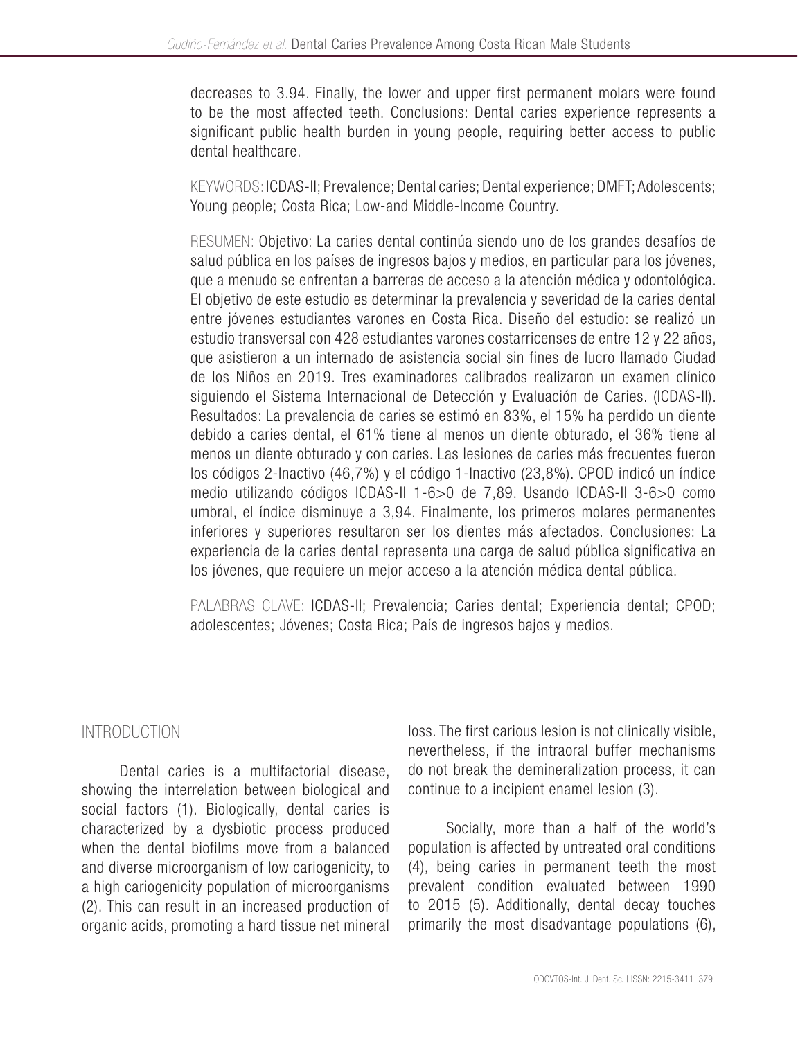decreases to 3.94. Finally, the lower and upper first permanent molars were found to be the most affected teeth. Conclusions: Dental caries experience represents a significant public health burden in young people, requiring better access to public dental healthcare.

KEYWORDS: ICDAS-II; Prevalence; Dental caries; Dental experience; DMFT; Adolescents; Young people; Costa Rica; Low-and Middle-Income Country.

RESUMEN: Objetivo: La caries dental continúa siendo uno de los grandes desafíos de salud pública en los países de ingresos bajos y medios, en particular para los jóvenes, que a menudo se enfrentan a barreras de acceso a la atención médica y odontológica. El objetivo de este estudio es determinar la prevalencia y severidad de la caries dental entre jóvenes estudiantes varones en Costa Rica. Diseño del estudio: se realizó un estudio transversal con 428 estudiantes varones costarricenses de entre 12 y 22 años, que asistieron a un internado de asistencia social sin fines de lucro llamado Ciudad de los Niños en 2019. Tres examinadores calibrados realizaron un examen clínico siguiendo el Sistema Internacional de Detección y Evaluación de Caries. (ICDAS-II). Resultados: La prevalencia de caries se estimó en 83%, el 15% ha perdido un diente debido a caries dental, el 61% tiene al menos un diente obturado, el 36% tiene al menos un diente obturado y con caries. Las lesiones de caries más frecuentes fueron los códigos 2-Inactivo (46,7%) y el código 1-Inactivo (23,8%). CPOD indicó un índice medio utilizando códigos ICDAS-II 1-6>0 de 7,89. Usando ICDAS-II 3-6>0 como umbral, el índice disminuye a 3,94. Finalmente, los primeros molares permanentes inferiores y superiores resultaron ser los dientes más afectados. Conclusiones: La experiencia de la caries dental representa una carga de salud pública significativa en los jóvenes, que requiere un mejor acceso a la atención médica dental pública.

PALABRAS CLAVE: ICDAS-II; Prevalencia; Caries dental; Experiencia dental; CPOD; adolescentes; Jóvenes; Costa Rica; País de ingresos bajos y medios.

# INTRODUCTION

Dental caries is a multifactorial disease, showing the interrelation between biological and social factors (1). Biologically, dental caries is characterized by a dysbiotic process produced when the dental biofilms move from a balanced and diverse microorganism of low cariogenicity, to a high cariogenicity population of microorganisms (2). This can result in an increased production of organic acids, promoting a hard tissue net mineral loss. The first carious lesion is not clinically visible, nevertheless, if the intraoral buffer mechanisms do not break the demineralization process, it can continue to a incipient enamel lesion (3).

Socially, more than a half of the world's population is affected by untreated oral conditions (4), being caries in permanent teeth the most prevalent condition evaluated between 1990 to 2015 (5). Additionally, dental decay touches primarily the most disadvantage populations (6),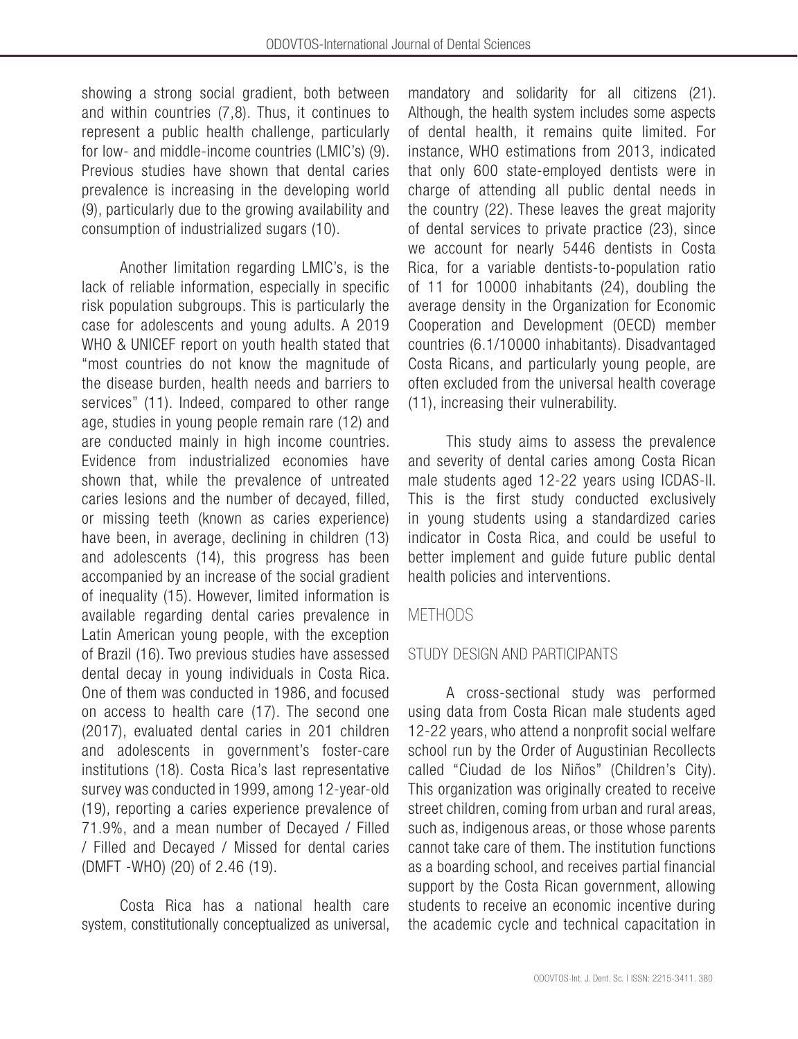showing a strong social gradient, both between and within countries (7,8). Thus, it continues to represent a public health challenge, particularly for low- and middle-income countries (LMIC's) (9). Previous studies have shown that dental caries prevalence is increasing in the developing world (9), particularly due to the growing availability and consumption of industrialized sugars (10).

Another limitation regarding LMIC's, is the lack of reliable information, especially in specific risk population subgroups. This is particularly the case for adolescents and young adults. A 2019 WHO & UNICEF report on youth health stated that "most countries do not know the magnitude of the disease burden, health needs and barriers to services" (11). Indeed, compared to other range age, studies in young people remain rare (12) and are conducted mainly in high income countries. Evidence from industrialized economies have shown that, while the prevalence of untreated caries lesions and the number of decayed, filled, or missing teeth (known as caries experience) have been, in average, declining in children (13) and adolescents (14), this progress has been accompanied by an increase of the social gradient of inequality (15). However, limited information is available regarding dental caries prevalence in Latin American young people, with the exception of Brazil (16). Two previous studies have assessed dental decay in young individuals in Costa Rica. One of them was conducted in 1986, and focused on access to health care (17). The second one (2017), evaluated dental caries in 201 children and adolescents in government's foster-care institutions (18). Costa Rica's last representative survey was conducted in 1999, among 12-year-old (19), reporting a caries experience prevalence of 71.9%, and a mean number of Decayed / Filled / Filled and Decayed / Missed for dental caries (DMFT -WHO) (20) of 2.46 (19).

Costa Rica has a national health care system, constitutionally conceptualized as universal, mandatory and solidarity for all citizens (21). Although, the health system includes some aspects of dental health, it remains quite limited. For instance, WHO estimations from 2013, indicated that only 600 state-employed dentists were in charge of attending all public dental needs in the country (22). These leaves the great majority of dental services to private practice (23), since we account for nearly 5446 dentists in Costa Rica, for a variable dentists-to-population ratio of 11 for 10000 inhabitants (24), doubling the average density in the Organization for Economic Cooperation and Development (OECD) member countries (6.1/10000 inhabitants). Disadvantaged Costa Ricans, and particularly young people, are often excluded from the universal health coverage (11), increasing their vulnerability.

This study aims to assess the prevalence and severity of dental caries among Costa Rican male students aged 12-22 years using ICDAS-II. This is the first study conducted exclusively in young students using a standardized caries indicator in Costa Rica, and could be useful to better implement and guide future public dental health policies and interventions.

# **METHODS**

# STUDY DESIGN AND PARTICIPANTS

A cross-sectional study was performed using data from Costa Rican male students aged 12-22 years, who attend a nonprofit social welfare school run by the Order of Augustinian Recollects called "Ciudad de los Niños" (Children's City). This organization was originally created to receive street children, coming from urban and rural areas, such as, indigenous areas, or those whose parents cannot take care of them. The institution functions as a boarding school, and receives partial financial support by the Costa Rican government, allowing students to receive an economic incentive during the academic cycle and technical capacitation in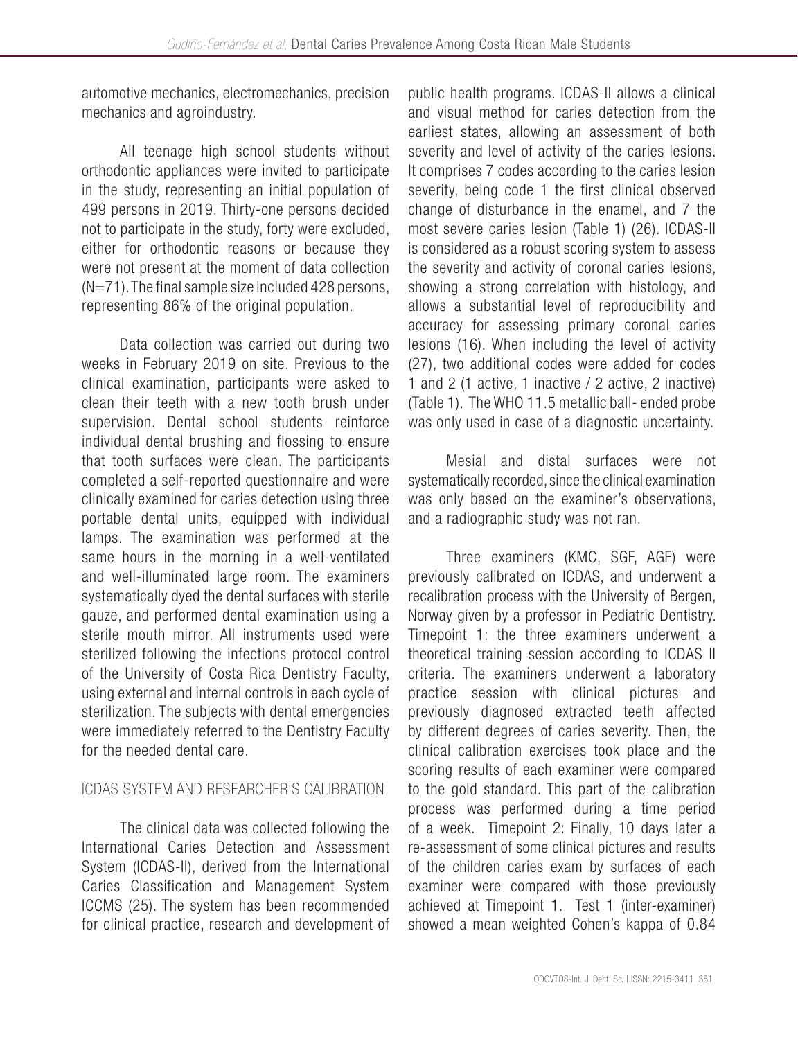automotive mechanics, electromechanics, precision mechanics and agroindustry.

All teenage high school students without orthodontic appliances were invited to participate in the study, representing an initial population of 499 persons in 2019. Thirty-one persons decided not to participate in the study, forty were excluded, either for orthodontic reasons or because they were not present at the moment of data collection  $(N=71)$ . The final sample size included 428 persons, representing 86% of the original population.

Data collection was carried out during two weeks in February 2019 on site. Previous to the clinical examination, participants were asked to clean their teeth with a new tooth brush under supervision. Dental school students reinforce individual dental brushing and flossing to ensure that tooth surfaces were clean. The participants completed a self-reported questionnaire and were clinically examined for caries detection using three portable dental units, equipped with individual lamps. The examination was performed at the same hours in the morning in a well-ventilated and well-illuminated large room. The examiners systematically dyed the dental surfaces with sterile gauze, and performed dental examination using a sterile mouth mirror. All instruments used were sterilized following the infections protocol control of the University of Costa Rica Dentistry Faculty, using external and internal controls in each cycle of sterilization. The subjects with dental emergencies were immediately referred to the Dentistry Faculty for the needed dental care.

# ICDAS SYSTEM AND RESEARCHER'S CALIBRATION

The clinical data was collected following the International Caries Detection and Assessment System (ICDAS-II), derived from the International Caries Classification and Management System ICCMS (25). The system has been recommended for clinical practice, research and development of public health programs. ICDAS-II allows a clinical and visual method for caries detection from the earliest states, allowing an assessment of both severity and level of activity of the caries lesions. It comprises 7 codes according to the caries lesion severity, being code 1 the first clinical observed change of disturbance in the enamel, and 7 the most severe caries lesion (Table 1) (26). ICDAS-II is considered as a robust scoring system to assess the severity and activity of coronal caries lesions, showing a strong correlation with histology, and allows a substantial level of reproducibility and accuracy for assessing primary coronal caries lesions (16). When including the level of activity (27), two additional codes were added for codes 1 and 2 (1 active, 1 inactive / 2 active, 2 inactive) (Table 1). The WHO 11.5 metallic ball- ended probe was only used in case of a diagnostic uncertainty.

Mesial and distal surfaces were not systematically recorded, since the clinical examination was only based on the examiner's observations, and a radiographic study was not ran.

Three examiners (KMC, SGF, AGF) were previously calibrated on ICDAS, and underwent a recalibration process with the University of Bergen, Norway given by a professor in Pediatric Dentistry. Timepoint 1: the three examiners underwent a theoretical training session according to ICDAS II criteria. The examiners underwent a laboratory practice session with clinical pictures and previously diagnosed extracted teeth affected by different degrees of caries severity. Then, the clinical calibration exercises took place and the scoring results of each examiner were compared to the gold standard. This part of the calibration process was performed during a time period of a week. Timepoint 2: Finally, 10 days later a re-assessment of some clinical pictures and results of the children caries exam by surfaces of each examiner were compared with those previously achieved at Timepoint 1. Test 1 (inter-examiner) showed a mean weighted Cohen's kappa of 0.84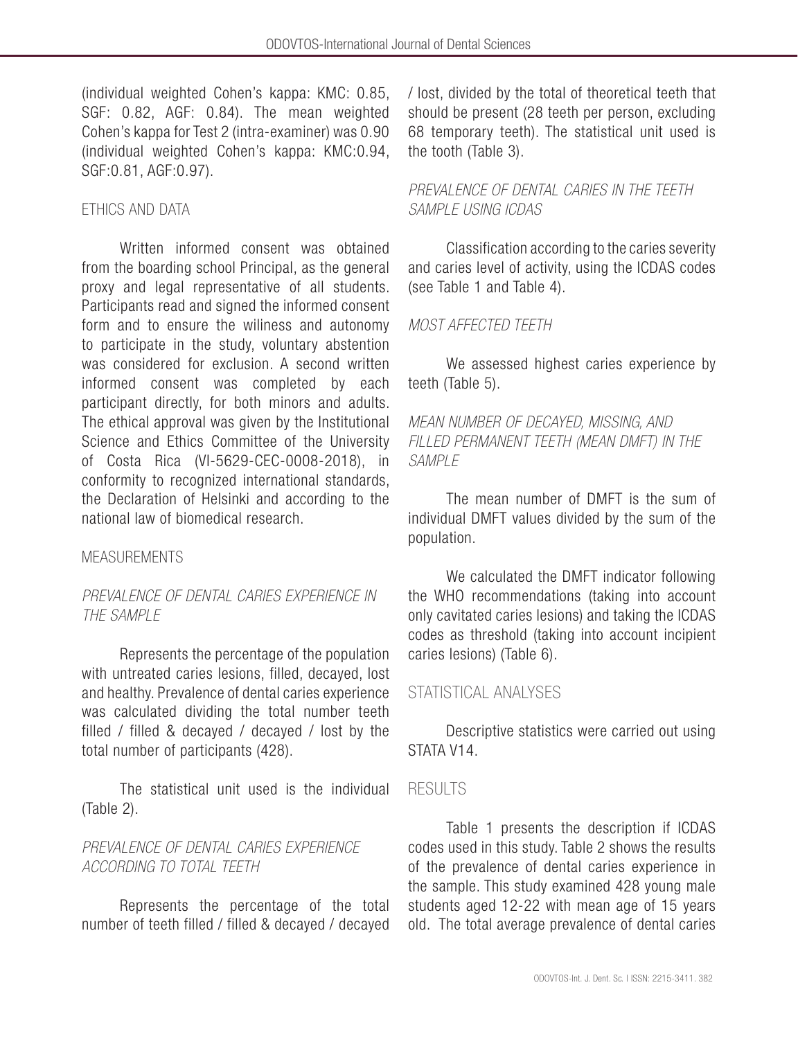(individual weighted Cohen's kappa: KMC: 0.85, SGF: 0.82, AGF: 0.84). The mean weighted Cohen's kappa for Test 2 (intra-examiner) was 0.90 (individual weighted Cohen's kappa: KMC:0.94, SGF:0.81, AGF:0.97).

# ETHICS AND DATA

Written informed consent was obtained from the boarding school Principal, as the general proxy and legal representative of all students. Participants read and signed the informed consent form and to ensure the wiliness and autonomy to participate in the study, voluntary abstention was considered for exclusion. A second written informed consent was completed by each participant directly, for both minors and adults. The ethical approval was given by the Institutional Science and Ethics Committee of the University of Costa Rica (VI-5629-CEC-0008-2018), in conformity to recognized international standards, the Declaration of Helsinki and according to the national law of biomedical research.

# MEASUREMENTS

# *PREVALENCE OF DENTAL CARIES EXPERIENCE IN THE SAMPLE*

Represents the percentage of the population with untreated caries lesions, filled, decayed, lost and healthy. Prevalence of dental caries experience was calculated dividing the total number teeth filled / filled & decayed / decayed / lost by the total number of participants (428).

The statistical unit used is the individual (Table 2).

# *PREVALENCE OF DENTAL CARIES EXPERIENCE ACCORDING TO TOTAL TEETH*

Represents the percentage of the total number of teeth filled / filled & decayed / decayed / lost, divided by the total of theoretical teeth that should be present (28 teeth per person, excluding 68 temporary teeth). The statistical unit used is the tooth (Table 3).

# *PREVALENCE OF DENTAL CARIES IN THE TEETH SAMPLE USING ICDAS*

Classification according to the caries severity and caries level of activity, using the ICDAS codes (see Table 1 and Table 4).

# *MOST AFFECTED TEETH*

We assessed highest caries experience by teeth (Table 5).

*MEAN NUMBER OF DECAYED, MISSING, AND FILLED PERMANENT TEETH (MEAN DMFT) IN THE SAMPLE* 

The mean number of DMFT is the sum of individual DMFT values divided by the sum of the population.

We calculated the DMFT indicator following the WHO recommendations (taking into account only cavitated caries lesions) and taking the ICDAS codes as threshold (taking into account incipient caries lesions) (Table 6).

# STATISTICAL ANALYSES

Descriptive statistics were carried out using STATA V14.

# RESULTS

Table 1 presents the description if ICDAS codes used in this study. Table 2 shows the results of the prevalence of dental caries experience in the sample. This study examined 428 young male students aged 12-22 with mean age of 15 years old. The total average prevalence of dental caries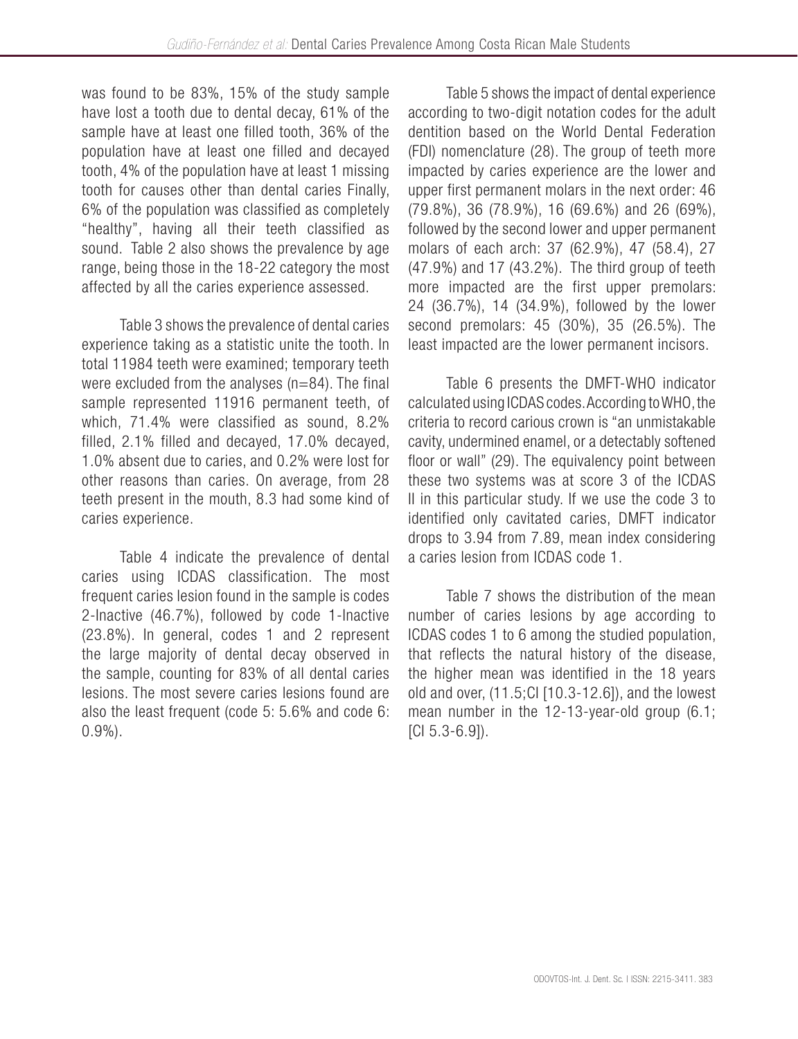was found to be 83%, 15% of the study sample have lost a tooth due to dental decay, 61% of the sample have at least one filled tooth, 36% of the population have at least one filled and decayed tooth, 4% of the population have at least 1 missing tooth for causes other than dental caries Finally, 6% of the population was classified as completely "healthy", having all their teeth classified as sound. Table 2 also shows the prevalence by age range, being those in the 18-22 category the most affected by all the caries experience assessed.

Table 3 shows the prevalence of dental caries experience taking as a statistic unite the tooth. In total 11984 teeth were examined; temporary teeth were excluded from the analyses (n=84). The final sample represented 11916 permanent teeth, of which, 71.4% were classified as sound, 8.2% filled, 2.1% filled and decayed, 17.0% decayed, 1.0% absent due to caries, and 0.2% were lost for other reasons than caries. On average, from 28 teeth present in the mouth, 8.3 had some kind of caries experience.

Table 4 indicate the prevalence of dental caries using ICDAS classification. The most frequent caries lesion found in the sample is codes 2-Inactive (46.7%), followed by code 1-Inactive (23.8%). In general, codes 1 and 2 represent the large majority of dental decay observed in the sample, counting for 83% of all dental caries lesions. The most severe caries lesions found are also the least frequent (code 5: 5.6% and code 6: 0.9%).

Table 5 shows the impact of dental experience according to two-digit notation codes for the adult dentition based on the World Dental Federation (FDI) nomenclature (28). The group of teeth more impacted by caries experience are the lower and upper first permanent molars in the next order: 46 (79.8%), 36 (78.9%), 16 (69.6%) and 26 (69%), followed by the second lower and upper permanent molars of each arch: 37 (62.9%), 47 (58.4), 27 (47.9%) and 17 (43.2%). The third group of teeth more impacted are the first upper premolars: 24 (36.7%), 14 (34.9%), followed by the lower second premolars: 45 (30%), 35 (26.5%). The least impacted are the lower permanent incisors.

Table 6 presents the DMFT-WHO indicator calculated using ICDAS codes. According to WHO, the criteria to record carious crown is "an unmistakable cavity, undermined enamel, or a detectably softened floor or wall" (29). The equivalency point between these two systems was at score 3 of the ICDAS II in this particular study. If we use the code 3 to identified only cavitated caries, DMFT indicator drops to 3.94 from 7.89, mean index considering a caries lesion from ICDAS code 1.

Table 7 shows the distribution of the mean number of caries lesions by age according to ICDAS codes 1 to 6 among the studied population, that reflects the natural history of the disease, the higher mean was identified in the 18 years old and over, (11.5;CI [10.3-12.6]), and the lowest mean number in the 12-13-year-old group (6.1; [CI 5.3-6.9]).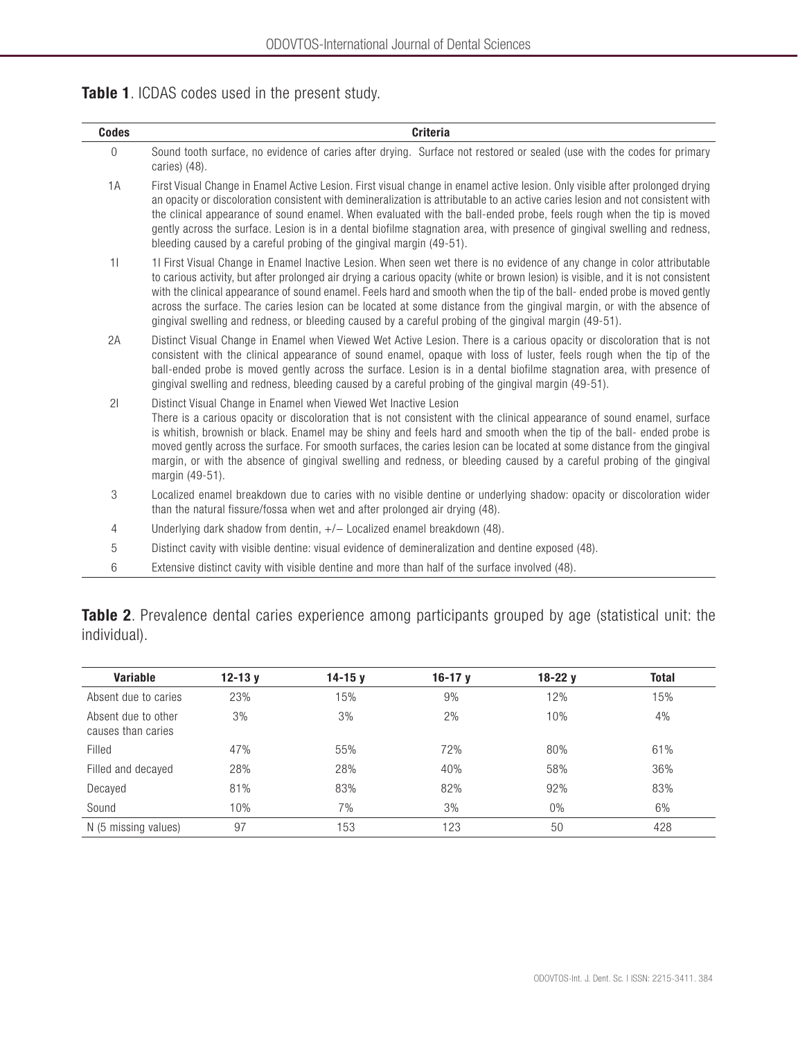|  |  |  | Table 1. ICDAS codes used in the present study. |
|--|--|--|-------------------------------------------------|
|--|--|--|-------------------------------------------------|

| <b>Codes</b>   | <b>Criteria</b>                                                                                                                                                                                                                                                                                                                                                                                                                                                                                                                                                                                                                |
|----------------|--------------------------------------------------------------------------------------------------------------------------------------------------------------------------------------------------------------------------------------------------------------------------------------------------------------------------------------------------------------------------------------------------------------------------------------------------------------------------------------------------------------------------------------------------------------------------------------------------------------------------------|
| $\mathbf{0}$   | Sound tooth surface, no evidence of caries after drying. Surface not restored or sealed (use with the codes for primary<br>caries) (48).                                                                                                                                                                                                                                                                                                                                                                                                                                                                                       |
| 1A             | First Visual Change in Enamel Active Lesion. First visual change in enamel active lesion. Only visible after prolonged drying<br>an opacity or discoloration consistent with demineralization is attributable to an active caries lesion and not consistent with<br>the clinical appearance of sound enamel. When evaluated with the ball-ended probe, feels rough when the tip is moved<br>gently across the surface. Lesion is in a dental biofilme stagnation area, with presence of gingival swelling and redness,<br>bleeding caused by a careful probing of the gingival margin (49-51).                                 |
| 11             | 1I First Visual Change in Enamel Inactive Lesion. When seen wet there is no evidence of any change in color attributable<br>to carious activity, but after prolonged air drying a carious opacity (white or brown lesion) is visible, and it is not consistent<br>with the clinical appearance of sound enamel. Feels hard and smooth when the tip of the ball-ended probe is moved gently<br>across the surface. The caries lesion can be located at some distance from the gingival margin, or with the absence of<br>gingival swelling and redness, or bleeding caused by a careful probing of the gingival margin (49-51). |
| 2A             | Distinct Visual Change in Enamel when Viewed Wet Active Lesion. There is a carious opacity or discoloration that is not<br>consistent with the clinical appearance of sound enamel, opaque with loss of luster, feels rough when the tip of the<br>ball-ended probe is moved gently across the surface. Lesion is in a dental biofilme stagnation area, with presence of<br>gingival swelling and redness, bleeding caused by a careful probing of the gingival margin (49-51).                                                                                                                                                |
| 21             | Distinct Visual Change in Enamel when Viewed Wet Inactive Lesion<br>There is a carious opacity or discoloration that is not consistent with the clinical appearance of sound enamel, surface<br>is whitish, brownish or black. Enamel may be shiny and feels hard and smooth when the tip of the ball- ended probe is<br>moved gently across the surface. For smooth surfaces, the caries lesion can be located at some distance from the gingival<br>margin, or with the absence of gingival swelling and redness, or bleeding caused by a careful probing of the gingival<br>margin (49-51).                                 |
| 3              | Localized enamel breakdown due to caries with no visible dentine or underlying shadow: opacity or discoloration wider<br>than the natural fissure/fossa when wet and after prolonged air drying (48).                                                                                                                                                                                                                                                                                                                                                                                                                          |
| $\overline{4}$ | Underlying dark shadow from dentin, $+/-$ Localized enamel breakdown (48).                                                                                                                                                                                                                                                                                                                                                                                                                                                                                                                                                     |
| 5              | Distinct cavity with visible dentine: visual evidence of demineralization and dentine exposed (48).                                                                                                                                                                                                                                                                                                                                                                                                                                                                                                                            |
| 6              | Extensive distinct cavity with visible dentine and more than half of the surface involved (48).                                                                                                                                                                                                                                                                                                                                                                                                                                                                                                                                |

| Variable                                  | $12 - 13y$ | $14 - 15y$ | 16-17 $v$ | $18-22y$ | <b>Total</b> |
|-------------------------------------------|------------|------------|-----------|----------|--------------|
| Absent due to caries                      | 23%        | 15%        | 9%        | 12%      | 15%          |
| Absent due to other<br>causes than caries | 3%         | 3%         | 2%        | 10%      | 4%           |
| Filled                                    | 47%        | 55%        | 72%       | 80%      | 61%          |
| Filled and decayed                        | 28%        | 28%        | 40%       | 58%      | 36%          |
| Decayed                                   | 81%        | 83%        | 82%       | 92%      | 83%          |

 $\text{Sound} \quad \text{S} \quad \text{S} \quad \text{S} \quad \text{S} \quad \text{S} \quad \text{S} \quad \text{S} \quad \text{S} \quad \text{S} \quad \text{S} \quad \text{S} \quad \text{S} \quad \text{S} \quad \text{S} \quad \text{S} \quad \text{S} \quad \text{S} \quad \text{S} \quad \text{S} \quad \text{S} \quad \text{S} \quad \text{S} \quad \text{S} \quad \text{S} \quad \text{S} \quad \text{S} \quad \text{S} \quad \text{S} \quad \text{S} \quad \text{S} \quad \text{$ N (5 missing values) 97 153 123 50 50 428

Table 2. Prevalence dental caries experience among participants grouped by age (statistical unit: the individual).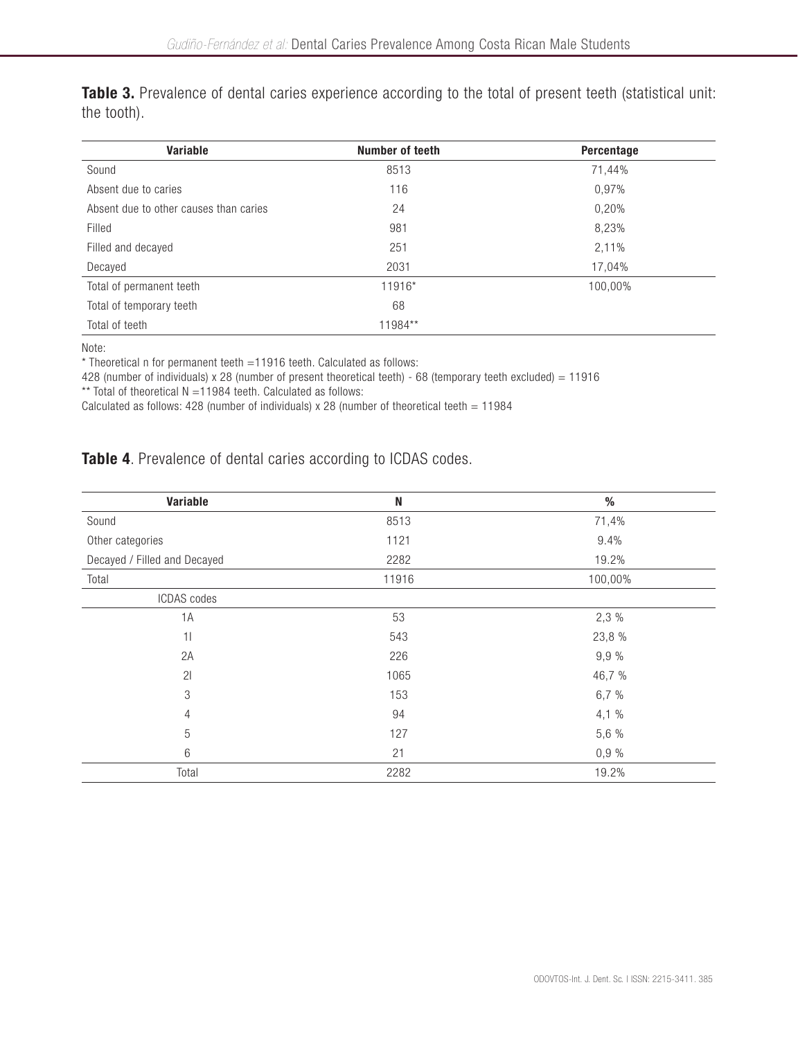Table 3. Prevalence of dental caries experience according to the total of present teeth (statistical unit: the tooth).

| Variable                               | Number of teeth | Percentage |
|----------------------------------------|-----------------|------------|
| Sound                                  | 8513            | 71,44%     |
| Absent due to caries                   | 116             | 0,97%      |
| Absent due to other causes than caries | 24              | 0,20%      |
| Filled                                 | 981             | 8,23%      |
| Filled and decayed                     | 251             | 2,11%      |
| Decayed                                | 2031            | 17,04%     |
| Total of permanent teeth               | 11916*          | 100,00%    |
| Total of temporary teeth               | 68              |            |
| Total of teeth                         | 11984**         |            |

Note:

\* Theoretical n for permanent teeth =11916 teeth. Calculated as follows:

428 (number of individuals) x 28 (number of present theoretical teeth) - 68 (temporary teeth excluded) = 11916

\*\* Total of theoretical  $N = 11984$  teeth. Calculated as follows:

Calculated as follows: 428 (number of individuals) x 28 (number of theoretical teeth =  $11984$ 

# Table 4. Prevalence of dental caries according to ICDAS codes.

| Variable                     | N     | $\%$    |
|------------------------------|-------|---------|
| Sound                        | 8513  | 71,4%   |
| Other categories             | 1121  | 9.4%    |
| Decayed / Filled and Decayed | 2282  | 19.2%   |
| Total                        | 11916 | 100,00% |
| ICDAS codes                  |       |         |
| 1A                           | 53    | 2,3 %   |
| 11                           | 543   | 23,8 %  |
| 2A                           | 226   | 9,9 %   |
| 21                           | 1065  | 46,7 %  |
| 3                            | 153   | 6,7 %   |
| $\overline{4}$               | 94    | 4,1 %   |
| 5                            | 127   | 5,6 %   |
| 6                            | 21    | 0,9%    |
| Total                        | 2282  | 19.2%   |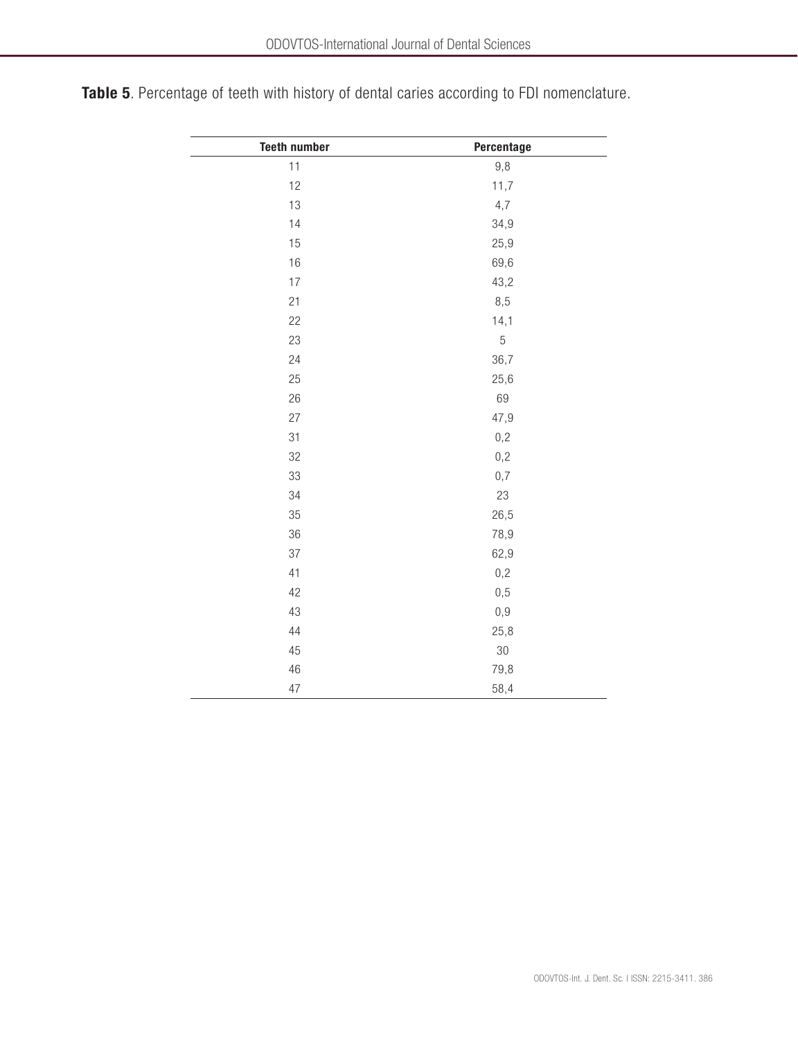| <b>Teeth number</b> | Percentage |
|---------------------|------------|
| 11                  | 9,8        |
| 12                  | 11,7       |
| 13                  | 4,7        |
| 14                  | 34,9       |
| 15                  | 25,9       |
| 16                  | 69,6       |
| 17                  | 43,2       |
| 21                  | 8,5        |
| 22                  | 14,1       |
| 23                  | $\sqrt{5}$ |
| 24                  | 36,7       |
| 25                  | 25,6       |
| 26                  | 69         |
| 27                  | 47,9       |
| 31                  | 0,2        |
| 32                  | 0,2        |
| 33                  | 0,7        |
| 34                  | 23         |
| 35                  | 26,5       |
| 36                  | 78,9       |
| 37                  | 62,9       |
| 41                  | 0,2        |
| 42                  | 0,5        |
| 43                  | 0,9        |
| 44                  | 25,8       |
| 45                  | 30         |
| 46                  | 79,8       |
| 47                  | 58,4       |

Table 5. Percentage of teeth with history of dental caries according to FDI nomenclature.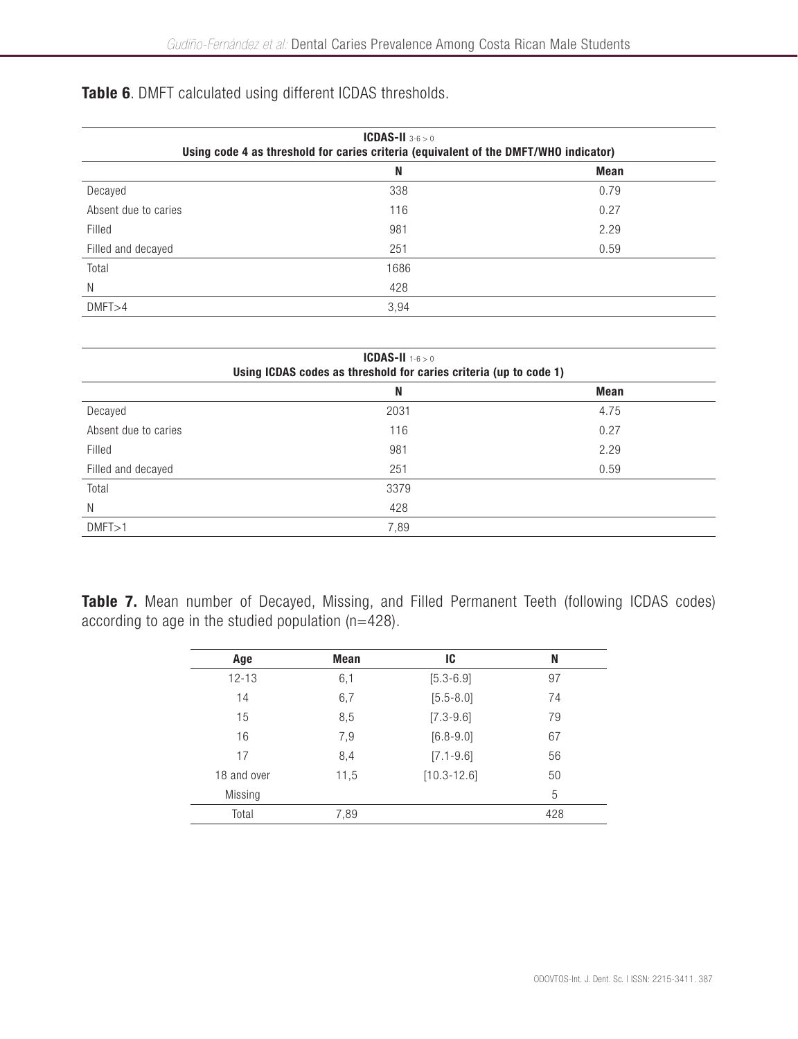# Table 6. DMFT calculated using different ICDAS thresholds.

| <b>ICDAS-II</b> $3-6 > 0$<br>Using code 4 as threshold for caries criteria (equivalent of the DMFT/WHO indicator) |      |             |  |
|-------------------------------------------------------------------------------------------------------------------|------|-------------|--|
|                                                                                                                   | N    | <b>Mean</b> |  |
| Decayed                                                                                                           | 338  | 0.79        |  |
| Absent due to caries                                                                                              | 116  | 0.27        |  |
| Filled                                                                                                            | 981  | 2.29        |  |
| Filled and decayed                                                                                                | 251  | 0.59        |  |
| Total                                                                                                             | 1686 |             |  |
| N                                                                                                                 | 428  |             |  |
| DMFT > 4                                                                                                          | 3,94 |             |  |

|                      | <b>ICDAS-II</b> $1-6 > 0$<br>Using ICDAS codes as threshold for caries criteria (up to code 1) |      |
|----------------------|------------------------------------------------------------------------------------------------|------|
|                      | N                                                                                              | Mean |
| Decayed              | 2031                                                                                           | 4.75 |
| Absent due to caries | 116                                                                                            | 0.27 |
| Filled               | 981                                                                                            | 2.29 |
| Filled and decayed   | 251                                                                                            | 0.59 |
| Total                | 3379                                                                                           |      |
| N                    | 428                                                                                            |      |
| DMFT > 1             | 7,89                                                                                           |      |

Table 7. Mean number of Decayed, Missing, and Filled Permanent Teeth (following ICDAS codes) according to age in the studied population (n=428).

| Age         | Mean | IC              | N   |
|-------------|------|-----------------|-----|
| $12 - 13$   | 6,1  | $[5.3 - 6.9]$   | 97  |
| 14          | 6,7  | $[5.5 - 8.0]$   | 74  |
| 15          | 8,5  | $[7.3 - 9.6]$   | 79  |
| 16          | 7,9  | $[6.8 - 9.0]$   | 67  |
| 17          | 8,4  | $[7.1 - 9.6]$   | 56  |
| 18 and over | 11,5 | $[10.3 - 12.6]$ | 50  |
| Missing     |      |                 | 5   |
| Total       | 7,89 |                 | 428 |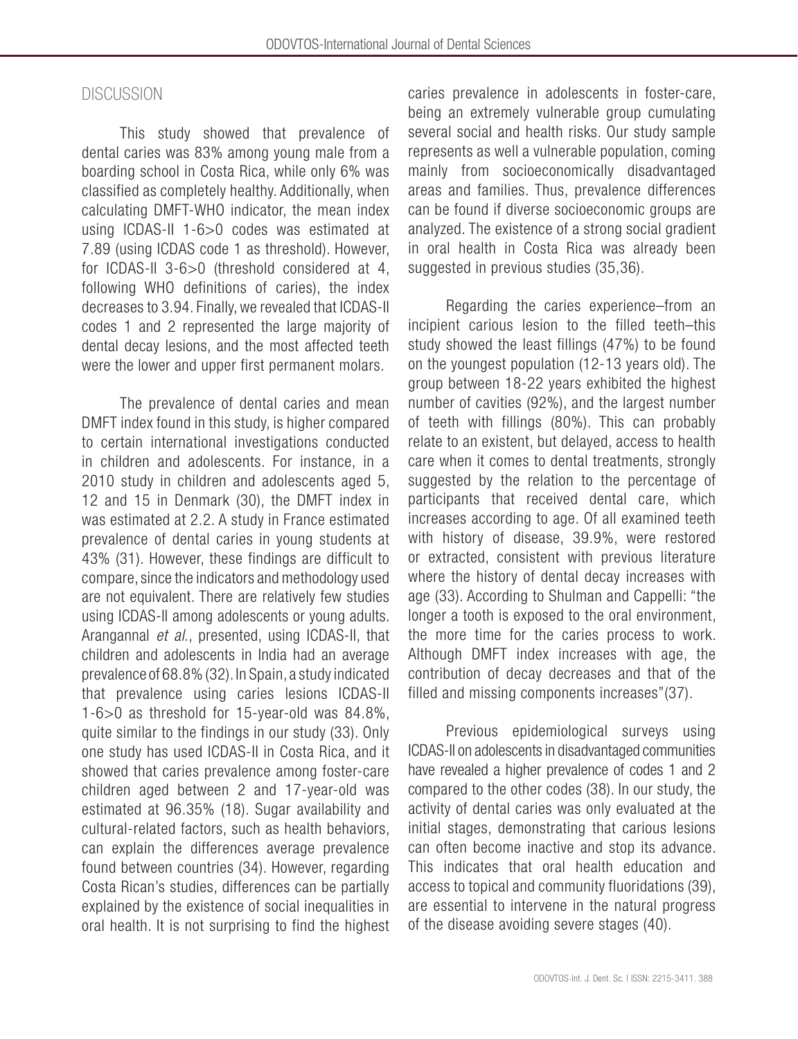# **DISCUSSION**

This study showed that prevalence of dental caries was 83% among young male from a boarding school in Costa Rica, while only 6% was classified as completely healthy. Additionally, when calculating DMFT-WHO indicator, the mean index using ICDAS-II 1-6>0 codes was estimated at 7.89 (using ICDAS code 1 as threshold). However, for ICDAS-II 3-6>0 (threshold considered at 4, following WHO definitions of caries), the index decreases to 3.94. Finally, we revealed that ICDAS-II codes 1 and 2 represented the large majority of dental decay lesions, and the most affected teeth were the lower and upper first permanent molars.

The prevalence of dental caries and mean DMFT index found in this study, is higher compared to certain international investigations conducted in children and adolescents. For instance, in a 2010 study in children and adolescents aged 5, 12 and 15 in Denmark (30), the DMFT index in was estimated at 2.2. A study in France estimated prevalence of dental caries in young students at 43% (31). However, these findings are difficult to compare, since the indicators and methodology used are not equivalent. There are relatively few studies using ICDAS-II among adolescents or young adults. Arangannal *et al*., presented, using ICDAS-II, that children and adolescents in India had an average prevalence of 68.8% (32). In Spain, a study indicated that prevalence using caries lesions ICDAS-II 1-6>0 as threshold for 15-year-old was 84.8%, quite similar to the findings in our study (33). Only one study has used ICDAS-II in Costa Rica, and it showed that caries prevalence among foster-care children aged between 2 and 17-year-old was estimated at 96.35% (18). Sugar availability and cultural-related factors, such as health behaviors, can explain the differences average prevalence found between countries (34). However, regarding Costa Rican's studies, differences can be partially explained by the existence of social inequalities in oral health. It is not surprising to find the highest caries prevalence in adolescents in foster-care, being an extremely vulnerable group cumulating several social and health risks. Our study sample represents as well a vulnerable population, coming mainly from socioeconomically disadvantaged areas and families. Thus, prevalence differences can be found if diverse socioeconomic groups are analyzed. The existence of a strong social gradient in oral health in Costa Rica was already been suggested in previous studies (35,36).

Regarding the caries experience–from an incipient carious lesion to the filled teeth–this study showed the least fillings (47%) to be found on the youngest population (12-13 years old). The group between 18-22 years exhibited the highest number of cavities (92%), and the largest number of teeth with fillings (80%). This can probably relate to an existent, but delayed, access to health care when it comes to dental treatments, strongly suggested by the relation to the percentage of participants that received dental care, which increases according to age. Of all examined teeth with history of disease, 39.9%, were restored or extracted, consistent with previous literature where the history of dental decay increases with age (33). According to Shulman and Cappelli: "the longer a tooth is exposed to the oral environment, the more time for the caries process to work. Although DMFT index increases with age, the contribution of decay decreases and that of the filled and missing components increases"(37).

Previous epidemiological surveys using ICDAS-II on adolescents in disadvantaged communities have revealed a higher prevalence of codes 1 and 2 compared to the other codes (38). In our study, the activity of dental caries was only evaluated at the initial stages, demonstrating that carious lesions can often become inactive and stop its advance. This indicates that oral health education and access to topical and community fluoridations (39), are essential to intervene in the natural progress of the disease avoiding severe stages (40).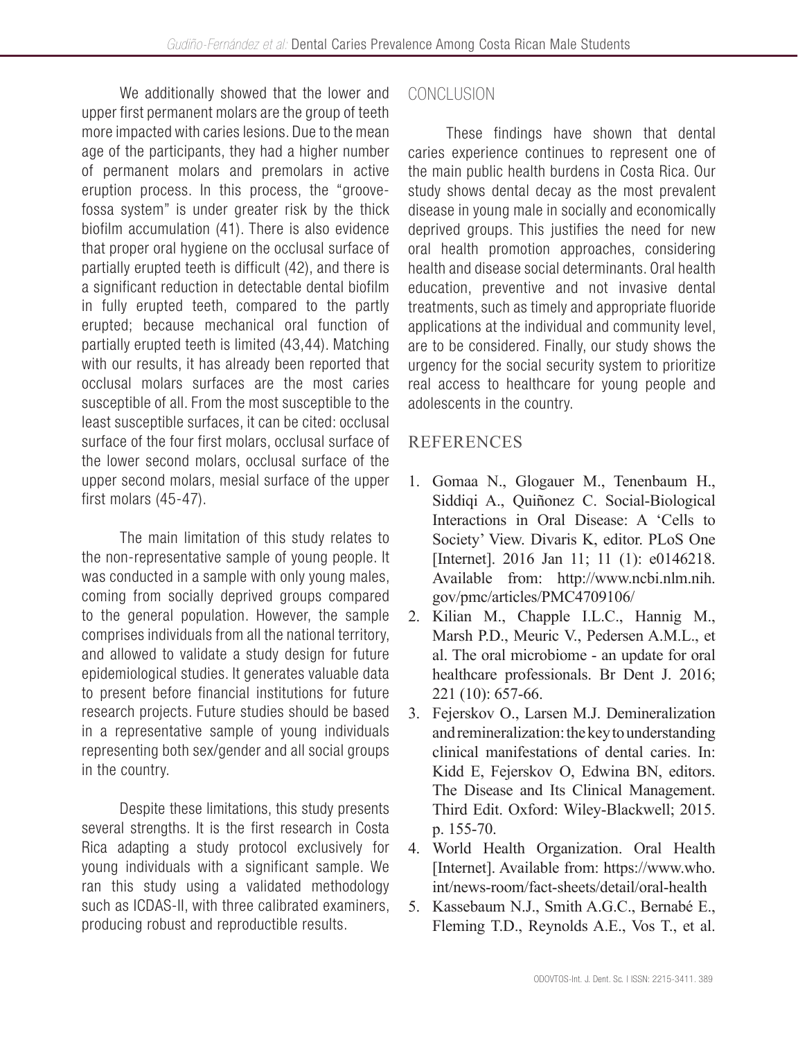We additionally showed that the lower and upper first permanent molars are the group of teeth more impacted with caries lesions. Due to the mean age of the participants, they had a higher number of permanent molars and premolars in active eruption process. In this process, the "groovefossa system" is under greater risk by the thick biofilm accumulation (41). There is also evidence that proper oral hygiene on the occlusal surface of partially erupted teeth is difficult (42), and there is a significant reduction in detectable dental biofilm in fully erupted teeth, compared to the partly erupted; because mechanical oral function of partially erupted teeth is limited (43,44). Matching with our results, it has already been reported that occlusal molars surfaces are the most caries susceptible of all. From the most susceptible to the least susceptible surfaces, it can be cited: occlusal surface of the four first molars, occlusal surface of the lower second molars, occlusal surface of the upper second molars, mesial surface of the upper first molars (45-47).

The main limitation of this study relates to the non-representative sample of young people. It was conducted in a sample with only young males, coming from socially deprived groups compared to the general population. However, the sample comprises individuals from all the national territory, and allowed to validate a study design for future epidemiological studies. It generates valuable data to present before financial institutions for future research projects. Future studies should be based in a representative sample of young individuals representing both sex/gender and all social groups in the country.

Despite these limitations, this study presents several strengths. It is the first research in Costa Rica adapting a study protocol exclusively for young individuals with a significant sample. We ran this study using a validated methodology such as ICDAS-II, with three calibrated examiners, producing robust and reproductible results.

# **CONCLUSION**

These findings have shown that dental caries experience continues to represent one of the main public health burdens in Costa Rica. Our study shows dental decay as the most prevalent disease in young male in socially and economically deprived groups. This justifies the need for new oral health promotion approaches, considering health and disease social determinants. Oral health education, preventive and not invasive dental treatments, such as timely and appropriate fluoride applications at the individual and community level, are to be considered. Finally, our study shows the urgency for the social security system to prioritize real access to healthcare for young people and adolescents in the country.

# REFERENCES

- 1. Gomaa N., Glogauer M., Tenenbaum H., Siddiqi A., Quiñonez C. Social-Biological Interactions in Oral Disease: A 'Cells to Society' View. Divaris K, editor. PLoS One [Internet]. 2016 Jan 11; 11 (1): e0146218. Available from: http://www.ncbi.nlm.nih. gov/pmc/articles/PMC4709106/
- 2. Kilian M., Chapple I.L.C., Hannig M., Marsh P.D., Meuric V., Pedersen A.M.L., et al. The oral microbiome - an update for oral healthcare professionals. Br Dent J. 2016; 221 (10): 657-66.
- 3. Fejerskov O., Larsen M.J. Demineralization and remineralization: the key to understanding clinical manifestations of dental caries. In: Kidd E, Fejerskov O, Edwina BN, editors. The Disease and Its Clinical Management. Third Edit. Oxford: Wiley-Blackwell; 2015. p. 155-70.
- 4. World Health Organization. Oral Health [Internet]. Available from: https://www.who. int/news-room/fact-sheets/detail/oral-health
- 5. Kassebaum N.J., Smith A.G.C., Bernabé E., Fleming T.D., Reynolds A.E., Vos T., et al.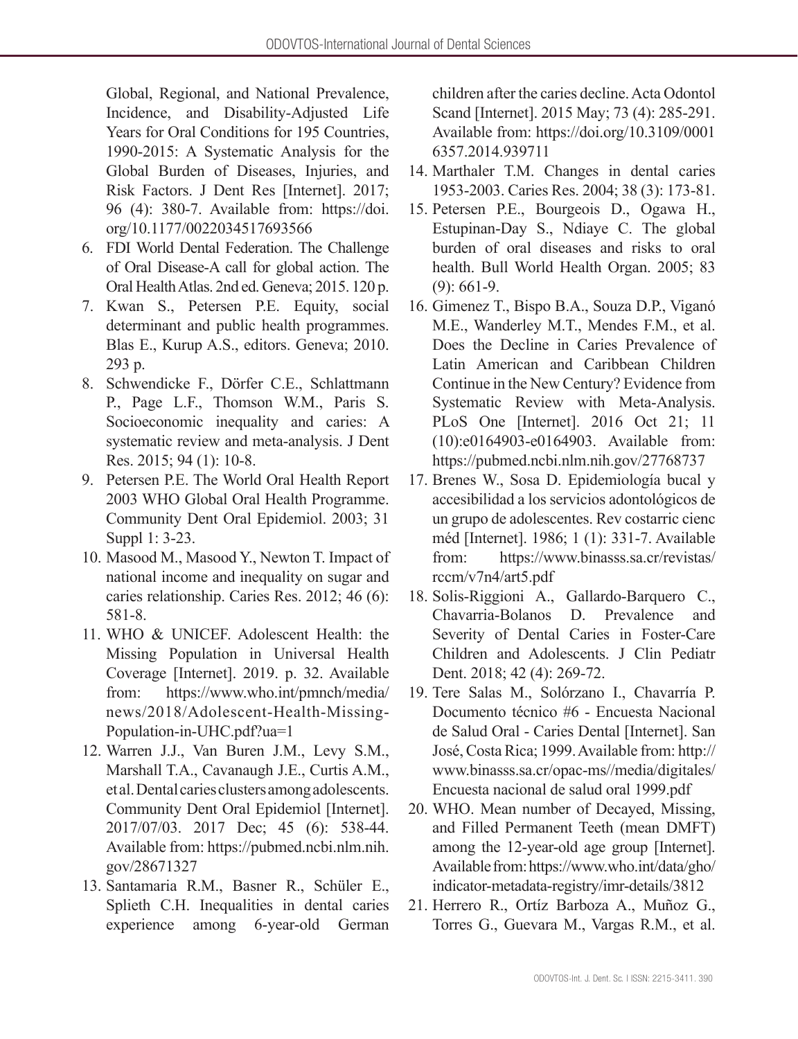Global, Regional, and National Prevalence, Incidence, and Disability-Adjusted Life Years for Oral Conditions for 195 Countries, 1990-2015: A Systematic Analysis for the Global Burden of Diseases, Injuries, and Risk Factors. J Dent Res [Internet]. 2017; 96 (4): 380-7. Available from: https://doi. org/10.1177/0022034517693566

- 6. FDI World Dental Federation. The Challenge of Oral Disease-A call for global action. The Oral Health Atlas. 2nd ed. Geneva; 2015. 120 p.
- 7. Kwan S., Petersen P.E. Equity, social determinant and public health programmes. Blas E., Kurup A.S., editors. Geneva; 2010. 293 p.
- 8. Schwendicke F., Dörfer C.E., Schlattmann P., Page L.F., Thomson W.M., Paris S. Socioeconomic inequality and caries: A systematic review and meta-analysis. J Dent Res. 2015; 94 (1): 10-8.
- 9. Petersen P.E. The World Oral Health Report 2003 WHO Global Oral Health Programme. Community Dent Oral Epidemiol. 2003; 31 Suppl 1: 3-23.
- 10. Masood M., Masood Y., Newton T. Impact of national income and inequality on sugar and caries relationship. Caries Res. 2012; 46 (6): 581-8.
- 11. WHO & UNICEF. Adolescent Health: the Missing Population in Universal Health Coverage [Internet]. 2019. p. 32. Available from: https://www.who.int/pmnch/media/ news/2018/Adolescent-Health-Missing-Population-in-UHC.pdf?ua=1
- 12. Warren J.J., Van Buren J.M., Levy S.M., Marshall T.A., Cavanaugh J.E., Curtis A.M., et al. Dental caries clusters among adolescents. Community Dent Oral Epidemiol [Internet]. 2017/07/03. 2017 Dec; 45 (6): 538-44. Available from: https://pubmed.ncbi.nlm.nih. gov/28671327
- 13. Santamaria R.M., Basner R., Schüler E., Splieth C.H. Inequalities in dental caries experience among 6-year-old German

children after the caries decline. Acta Odontol Scand [Internet]. 2015 May; 73 (4): 285-291. Available from: https://doi.org/10.3109/0001 6357.2014.939711

- 14. Marthaler T.M. Changes in dental caries 1953-2003. Caries Res. 2004; 38 (3): 173-81.
- 15. Petersen P.E., Bourgeois D., Ogawa H., Estupinan-Day S., Ndiaye C. The global burden of oral diseases and risks to oral health. Bull World Health Organ. 2005; 83 (9): 661-9.
- 16. Gimenez T., Bispo B.A., Souza D.P., Viganó M.E., Wanderley M.T., Mendes F.M., et al. Does the Decline in Caries Prevalence of Latin American and Caribbean Children Continue in the New Century? Evidence from Systematic Review with Meta-Analysis. PLoS One [Internet]. 2016 Oct 21; 11 (10):e0164903-e0164903. Available from: https://pubmed.ncbi.nlm.nih.gov/27768737
- 17. Brenes W., Sosa D. Epidemiología bucal y accesibilidad a los servicios adontológicos de un grupo de adolescentes. Rev costarric cienc méd [Internet]. 1986; 1 (1): 331-7. Available from: https://www.binasss.sa.cr/revistas/ rccm/v7n4/art5.pdf
- 18. Solis-Riggioni A., Gallardo-Barquero C., Chavarria-Bolanos D. Prevalence and Severity of Dental Caries in Foster-Care Children and Adolescents. J Clin Pediatr Dent. 2018; 42 (4): 269-72.
- 19. Tere Salas M., Solórzano I., Chavarría P. Documento técnico #6 - Encuesta Nacional de Salud Oral - Caries Dental [Internet]. San José, Costa Rica; 1999. Available from: http:// www.binasss.sa.cr/opac-ms//media/digitales/ Encuesta nacional de salud oral 1999.pdf
- 20. WHO. Mean number of Decayed, Missing, and Filled Permanent Teeth (mean DMFT) among the 12-year-old age group [Internet]. Available from: https://www.who.int/data/gho/ indicator-metadata-registry/imr-details/3812
- 21. Herrero R., Ortíz Barboza A., Muñoz G., Torres G., Guevara M., Vargas R.M., et al.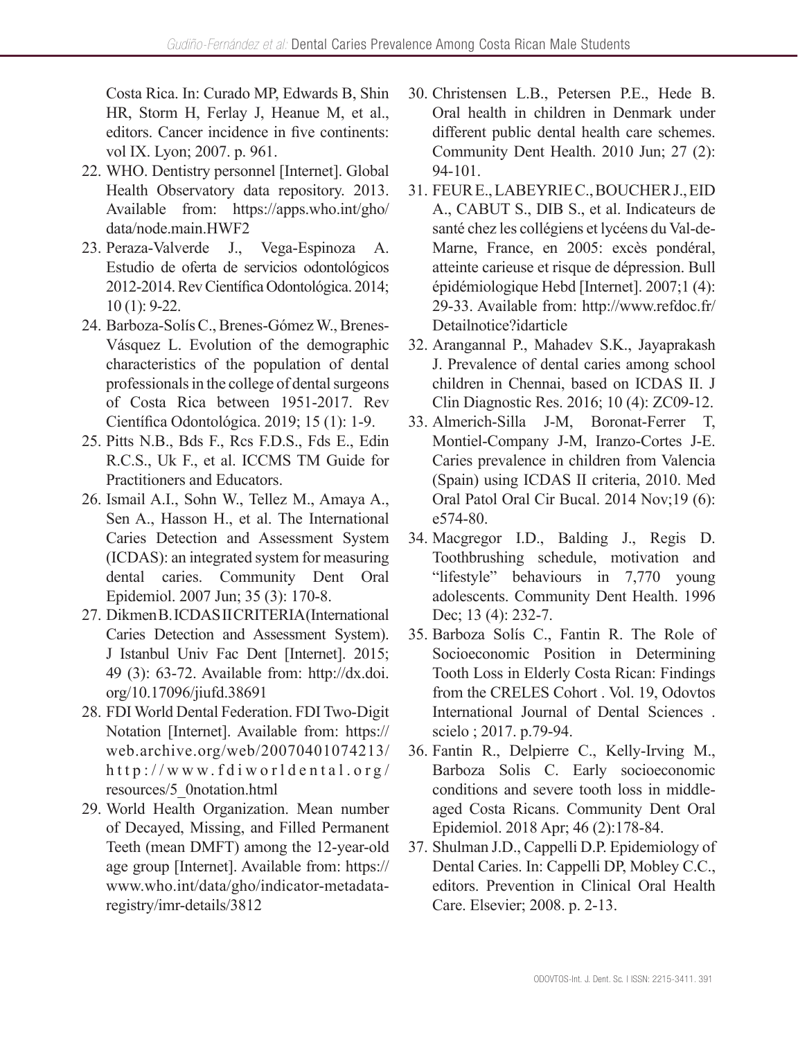Costa Rica. In: Curado MP, Edwards B, Shin HR, Storm H, Ferlay J, Heanue M, et al., editors. Cancer incidence in five continents: vol IX. Lyon; 2007. p. 961.

- 22. WHO. Dentistry personnel [Internet]. Global Health Observatory data repository. 2013. Available from: https://apps.who.int/gho/ data/node.main.HWF2
- 23. Peraza-Valverde J., Vega-Espinoza A. Estudio de oferta de servicios odontológicos 2012-2014. Rev Científica Odontológica. 2014; 10 (1): 9-22.
- 24. Barboza-Solís C., Brenes-Gómez W., Brenes-Vásquez L. Evolution of the demographic characteristics of the population of dental professionals in the college of dental surgeons of Costa Rica between 1951-2017. Rev Científica Odontológica. 2019; 15 (1): 1-9.
- 25. Pitts N.B., Bds F., Rcs F.D.S., Fds E., Edin R.C.S., Uk F., et al. ICCMS TM Guide for Practitioners and Educators.
- 26. Ismail A.I., Sohn W., Tellez M., Amaya A., Sen A., Hasson H., et al. The International Caries Detection and Assessment System (ICDAS): an integrated system for measuring dental caries. Community Dent Oral Epidemiol. 2007 Jun; 35 (3): 170-8.
- 27. Dikmen B. ICDAS II CRITERIA (International Caries Detection and Assessment System). J Istanbul Univ Fac Dent [Internet]. 2015; 49 (3): 63-72. Available from: http://dx.doi. org/10.17096/jiufd.38691
- 28. FDI World Dental Federation. FDI Two-Digit Notation [Internet]. Available from: https:// web.archive.org/web/20070401074213/ http://www.fdiworldental.org/ resources/5\_0notation.html
- 29. World Health Organization. Mean number of Decayed, Missing, and Filled Permanent Teeth (mean DMFT) among the 12-year-old age group [Internet]. Available from: https:// www.who.int/data/gho/indicator-metadataregistry/imr-details/3812
- 30. Christensen L.B., Petersen P.E., Hede B. Oral health in children in Denmark under different public dental health care schemes. Community Dent Health. 2010 Jun; 27 (2): 94-101.
- 31. FEUR E., LABEYRIE C., BOUCHER J., EID A., CABUT S., DIB S., et al. Indicateurs de santé chez les collégiens et lycéens du Val-de-Marne, France, en 2005: excès pondéral, atteinte carieuse et risque de dépression. Bull épidémiologique Hebd [Internet]. 2007;1 (4): 29-33. Available from: http://www.refdoc.fr/ Detailnotice?idarticle
- 32. Arangannal P., Mahadev S.K., Jayaprakash J. Prevalence of dental caries among school children in Chennai, based on ICDAS II. J Clin Diagnostic Res. 2016; 10 (4): ZC09-12.
- 33. Almerich-Silla J-M, Boronat-Ferrer T, Montiel-Company J-M, Iranzo-Cortes J-E. Caries prevalence in children from Valencia (Spain) using ICDAS II criteria, 2010. Med Oral Patol Oral Cir Bucal. 2014 Nov;19 (6): e574-80.
- 34. Macgregor I.D., Balding J., Regis D. Toothbrushing schedule, motivation and "lifestyle" behaviours in 7,770 young adolescents. Community Dent Health. 1996 Dec; 13 (4): 232-7.
- 35. Barboza Solís C., Fantin R. The Role of Socioeconomic Position in Determining Tooth Loss in Elderly Costa Rican: Findings from the CRELES Cohort . Vol. 19, Odovtos International Journal of Dental Sciences . scielo ; 2017. p.79-94.
- 36. Fantin R., Delpierre C., Kelly-Irving M., Barboza Solis C. Early socioeconomic conditions and severe tooth loss in middleaged Costa Ricans. Community Dent Oral Epidemiol. 2018 Apr; 46 (2):178-84.
- 37. Shulman J.D., Cappelli D.P. Epidemiology of Dental Caries. In: Cappelli DP, Mobley C.C., editors. Prevention in Clinical Oral Health Care. Elsevier; 2008. p. 2-13.